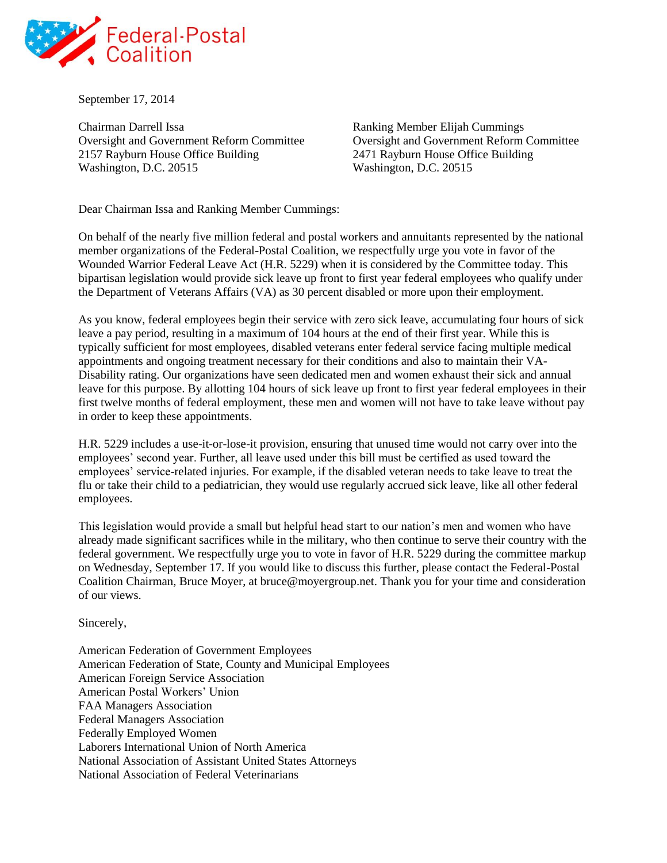

September 17, 2014

Chairman Darrell Issa Ranking Member Elijah Cummings Oversight and Government Reform Committee Oversight and Government Reform Committee 2157 Rayburn House Office Building 2471 Rayburn House Office Building Washington, D.C. 20515 Washington, D.C. 20515

Dear Chairman Issa and Ranking Member Cummings:

On behalf of the nearly five million federal and postal workers and annuitants represented by the national member organizations of the Federal-Postal Coalition, we respectfully urge you vote in favor of the Wounded Warrior Federal Leave Act (H.R. 5229) when it is considered by the Committee today. This bipartisan legislation would provide sick leave up front to first year federal employees who qualify under the Department of Veterans Affairs (VA) as 30 percent disabled or more upon their employment.

As you know, federal employees begin their service with zero sick leave, accumulating four hours of sick leave a pay period, resulting in a maximum of 104 hours at the end of their first year. While this is typically sufficient for most employees, disabled veterans enter federal service facing multiple medical appointments and ongoing treatment necessary for their conditions and also to maintain their VA-Disability rating. Our organizations have seen dedicated men and women exhaust their sick and annual leave for this purpose. By allotting 104 hours of sick leave up front to first year federal employees in their first twelve months of federal employment, these men and women will not have to take leave without pay in order to keep these appointments.

H.R. 5229 includes a use-it-or-lose-it provision, ensuring that unused time would not carry over into the employees' second year. Further, all leave used under this bill must be certified as used toward the employees' service-related injuries. For example, if the disabled veteran needs to take leave to treat the flu or take their child to a pediatrician, they would use regularly accrued sick leave, like all other federal employees.

This legislation would provide a small but helpful head start to our nation's men and women who have already made significant sacrifices while in the military, who then continue to serve their country with the federal government. We respectfully urge you to vote in favor of H.R. 5229 during the committee markup on Wednesday, September 17. If you would like to discuss this further, please contact the Federal-Postal Coalition Chairman, Bruce Moyer, at bruce@moyergroup.net. Thank you for your time and consideration of our views.

Sincerely,

American Federation of Government Employees American Federation of State, County and Municipal Employees American Foreign Service Association American Postal Workers' Union FAA Managers Association Federal Managers Association Federally Employed Women Laborers International Union of North America National Association of Assistant United States Attorneys National Association of Federal Veterinarians